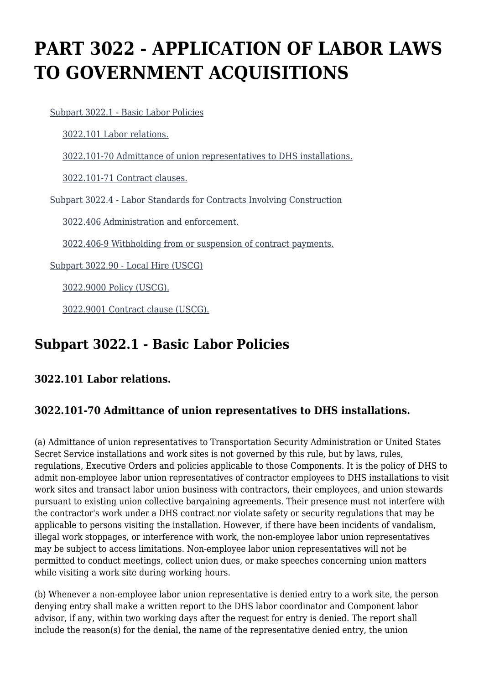# **PART 3022 - APPLICATION OF LABOR LAWS TO GOVERNMENT ACQUISITIONS**

[Subpart 3022.1 - Basic Labor Policies](https://origin-www.acquisition.gov/%5Brp:link:hsar-part-3022%5D#Subpart_3022_1_T48_70211221)

[3022.101 Labor relations.](https://origin-www.acquisition.gov/%5Brp:link:hsar-part-3022%5D#Section_3022_101_T48_7021122111)

[3022.101-70 Admittance of union representatives to DHS installations.](https://origin-www.acquisition.gov/%5Brp:link:hsar-part-3022%5D#Section_3022_101_70_T48_7021122112)

[3022.101-71 Contract clauses.](https://origin-www.acquisition.gov/%5Brp:link:hsar-part-3022%5D#Section_3022_101_71_T48_7021122113)

[Subpart 3022.4 - Labor Standards for Contracts Involving Construction](https://origin-www.acquisition.gov/%5Brp:link:hsar-part-3022%5D#Subpart_3022_4_T48_70211222)

[3022.406 Administration and enforcement.](https://origin-www.acquisition.gov/%5Brp:link:hsar-part-3022%5D#Section_3022_406_T48_7021122211)

[3022.406-9 Withholding from or suspension of contract payments.](https://origin-www.acquisition.gov/%5Brp:link:hsar-part-3022%5D#Section_3022_406_9_T48_7021122212)

[Subpart 3022.90 - Local Hire \(USCG\)](https://origin-www.acquisition.gov/%5Brp:link:hsar-part-3022%5D#Subpart_3022_90_T48_70211223)

[3022.9000 Policy \(USCG\).](https://origin-www.acquisition.gov/%5Brp:link:hsar-part-3022%5D#Section_3022_9000_T48_7021122311)

[3022.9001 Contract clause \(USCG\).](https://origin-www.acquisition.gov/%5Brp:link:hsar-part-3022%5D#Section_3022_9001_T48_7021122312)

## **Subpart 3022.1 - Basic Labor Policies**

#### **3022.101 Labor relations.**

#### **3022.101-70 Admittance of union representatives to DHS installations.**

(a) Admittance of union representatives to Transportation Security Administration or United States Secret Service installations and work sites is not governed by this rule, but by laws, rules, regulations, Executive Orders and policies applicable to those Components. It is the policy of DHS to admit non-employee labor union representatives of contractor employees to DHS installations to visit work sites and transact labor union business with contractors, their employees, and union stewards pursuant to existing union collective bargaining agreements. Their presence must not interfere with the contractor's work under a DHS contract nor violate safety or security regulations that may be applicable to persons visiting the installation. However, if there have been incidents of vandalism, illegal work stoppages, or interference with work, the non-employee labor union representatives may be subject to access limitations. Non-employee labor union representatives will not be permitted to conduct meetings, collect union dues, or make speeches concerning union matters while visiting a work site during working hours.

(b) Whenever a non-employee labor union representative is denied entry to a work site, the person denying entry shall make a written report to the DHS labor coordinator and Component labor advisor, if any, within two working days after the request for entry is denied. The report shall include the reason(s) for the denial, the name of the representative denied entry, the union